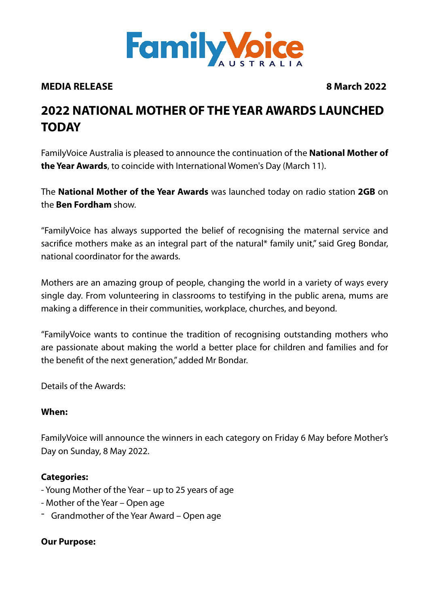

#### **MEDIA RELEASE 8 March 2022**

# **2022 NATIONAL MOTHER OF THE YEAR AWARDS LAUNCHED TODAY**

FamilyVoice Australia is pleased to announce the continuation of the **National Mother of the Year Awards**, to coincide with International Women's Day (March 11).

The **National Mother of the Year Awards** was launched today on radio station **2GB** on the **Ben Fordham** show.

"FamilyVoice has always supported the belief of recognising the maternal service and sacrifice mothers make as an integral part of the natural\* family unit," said Greg Bondar, national coordinator for the awards.

Mothers are an amazing group of people, changing the world in a variety of ways every single day. From volunteering in classrooms to testifying in the public arena, mums are making a difference in their communities, workplace, churches, and beyond.

"FamilyVoice wants to continue the tradition of recognising outstanding mothers who are passionate about making the world a better place for children and families and for the benefit of the next generation," added Mr Bondar.

Details of the Awards:

#### **When:**

FamilyVoice will announce the winners in each category on Friday 6 May before Mother's Day on Sunday, 8 May 2022.

#### **Categories:**

- Young Mother of the Year up to 25 years of age
- Mother of the Year Open age
- Grandmother of the Year Award Open age

#### **Our Purpose:**